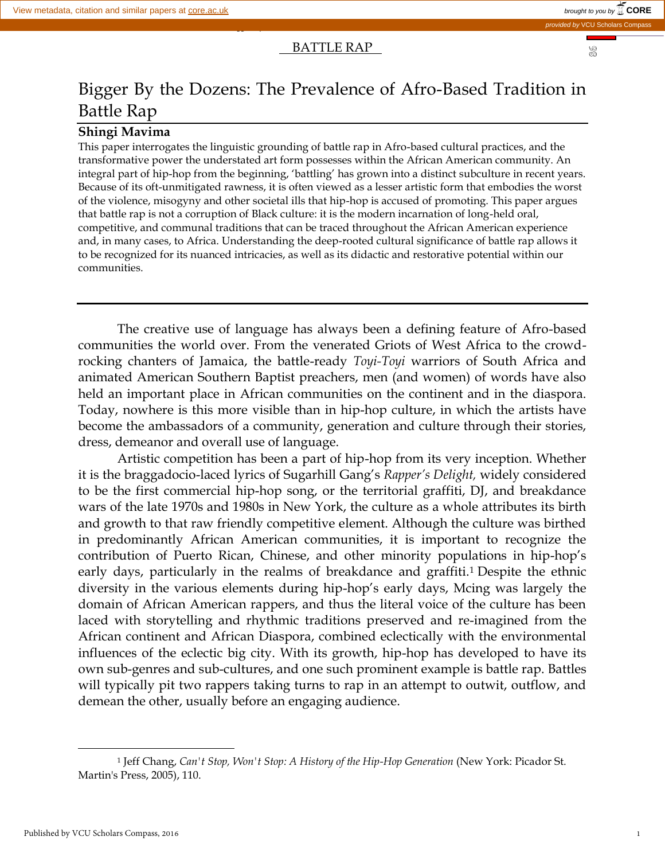# 86

# Bigger By the Dozens: The Prevalence of Afro-Based Tradition in Battle Rap

# **Shingi Mavima**

This paper interrogates the linguistic grounding of battle rap in Afro-based cultural practices, and the transformative power the understated art form possesses within the African American community. An integral part of hip-hop from the beginning, 'battling' has grown into a distinct subculture in recent years. Because of its oft-unmitigated rawness, it is often viewed as a lesser artistic form that embodies the worst of the violence, misogyny and other societal ills that hip-hop is accused of promoting. This paper argues that battle rap is not a corruption of Black culture: it is the modern incarnation of long-held oral, competitive, and communal traditions that can be traced throughout the African American experience and, in many cases, to Africa. Understanding the deep-rooted cultural significance of battle rap allows it to be recognized for its nuanced intricacies, as well as its didactic and restorative potential within our communities.

The creative use of language has always been a defining feature of Afro-based communities the world over. From the venerated Griots of West Africa to the crowdrocking chanters of Jamaica, the battle-ready *Toyi-Toyi* warriors of South Africa and animated American Southern Baptist preachers, men (and women) of words have also held an important place in African communities on the continent and in the diaspora. Today, nowhere is this more visible than in hip-hop culture, in which the artists have become the ambassadors of a community, generation and culture through their stories, dress, demeanor and overall use of language.

Artistic competition has been a part of hip-hop from its very inception. Whether it is the braggadocio-laced lyrics of Sugarhill Gang's *Rapper's Delight,* widely considered to be the first commercial hip-hop song, or the territorial graffiti, DJ, and breakdance wars of the late 1970s and 1980s in New York, the culture as a whole attributes its birth and growth to that raw friendly competitive element. Although the culture was birthed in predominantly African American communities, it is important to recognize the contribution of Puerto Rican, Chinese, and other minority populations in hip-hop's early days, particularly in the realms of breakdance and graffiti.<sup>1</sup> Despite the ethnic diversity in the various elements during hip-hop's early days, Mcing was largely the domain of African American rappers, and thus the literal voice of the culture has been laced with storytelling and rhythmic traditions preserved and re-imagined from the African continent and African Diaspora, combined eclectically with the environmental influences of the eclectic big city. With its growth, hip-hop has developed to have its own sub-genres and sub-cultures, and one such prominent example is battle rap. Battles will typically pit two rappers taking turns to rap in an attempt to outwit, outflow, and demean the other, usually before an engaging audience.

<sup>1</sup> Jeff Chang, *Can't Stop, Won't Stop: A History of the Hip-Hop Generation* (New York: Picador St. Martin's Press, 2005), 110.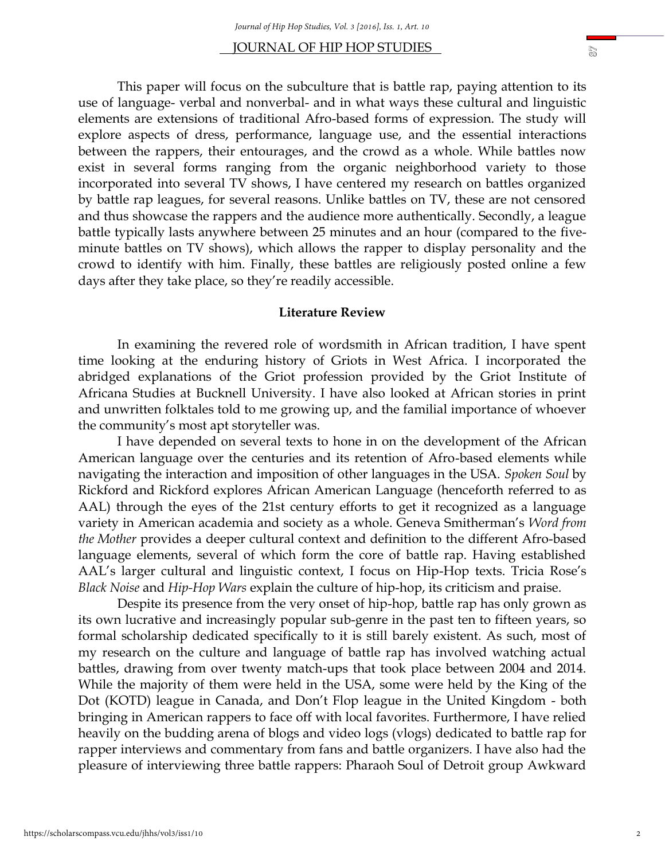This paper will focus on the subculture that is battle rap, paying attention to its use of language- verbal and nonverbal- and in what ways these cultural and linguistic elements are extensions of traditional Afro-based forms of expression. The study will explore aspects of dress, performance, language use, and the essential interactions between the rappers, their entourages, and the crowd as a whole. While battles now exist in several forms ranging from the organic neighborhood variety to those incorporated into several TV shows, I have centered my research on battles organized by battle rap leagues, for several reasons. Unlike battles on TV, these are not censored and thus showcase the rappers and the audience more authentically. Secondly, a league battle typically lasts anywhere between 25 minutes and an hour (compared to the fiveminute battles on TV shows), which allows the rapper to display personality and the crowd to identify with him. Finally, these battles are religiously posted online a few days after they take place, so they're readily accessible.

#### **Literature Review**

In examining the revered role of wordsmith in African tradition, I have spent time looking at the enduring history of Griots in West Africa. I incorporated the abridged explanations of the Griot profession provided by the Griot Institute of Africana Studies at Bucknell University. I have also looked at African stories in print and unwritten folktales told to me growing up, and the familial importance of whoever the community's most apt storyteller was.

I have depended on several texts to hone in on the development of the African American language over the centuries and its retention of Afro-based elements while navigating the interaction and imposition of other languages in the USA. *Spoken Soul* by Rickford and Rickford explores African American Language (henceforth referred to as AAL) through the eyes of the 21st century efforts to get it recognized as a language variety in American academia and society as a whole. Geneva Smitherman's *Word from the Mother* provides a deeper cultural context and definition to the different Afro-based language elements, several of which form the core of battle rap. Having established AAL's larger cultural and linguistic context, I focus on Hip-Hop texts. Tricia Rose's *Black Noise* and *Hip-Hop Wars* explain the culture of hip-hop, its criticism and praise.

Despite its presence from the very onset of hip-hop, battle rap has only grown as its own lucrative and increasingly popular sub-genre in the past ten to fifteen years, so formal scholarship dedicated specifically to it is still barely existent. As such, most of my research on the culture and language of battle rap has involved watching actual battles, drawing from over twenty match-ups that took place between 2004 and 2014. While the majority of them were held in the USA, some were held by the King of the Dot (KOTD) league in Canada, and Don't Flop league in the United Kingdom - both bringing in American rappers to face off with local favorites. Furthermore, I have relied heavily on the budding arena of blogs and video logs (vlogs) dedicated to battle rap for rapper interviews and commentary from fans and battle organizers. I have also had the pleasure of interviewing three battle rappers: Pharaoh Soul of Detroit group Awkward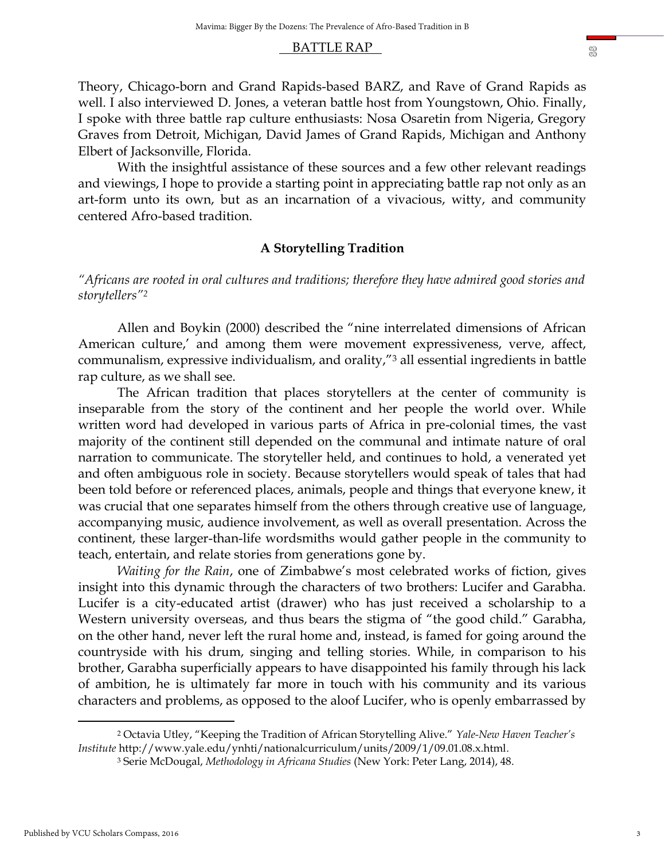Theory, Chicago-born and Grand Rapids-based BARZ, and Rave of Grand Rapids as well. I also interviewed D. Jones, a veteran battle host from Youngstown, Ohio. Finally, I spoke with three battle rap culture enthusiasts: Nosa Osaretin from Nigeria, Gregory Graves from Detroit, Michigan, David James of Grand Rapids, Michigan and Anthony Elbert of Jacksonville, Florida.

With the insightful assistance of these sources and a few other relevant readings and viewings, I hope to provide a starting point in appreciating battle rap not only as an art-form unto its own, but as an incarnation of a vivacious, witty, and community centered Afro-based tradition.

## **A Storytelling Tradition**

*"Africans are rooted in oral cultures and traditions; therefore they have admired good stories and storytellers"<sup>2</sup>*

Allen and Boykin (2000) described the "nine interrelated dimensions of African American culture,' and among them were movement expressiveness, verve, affect, communalism, expressive individualism, and orality,"<sup>3</sup> all essential ingredients in battle rap culture, as we shall see.

The African tradition that places storytellers at the center of community is inseparable from the story of the continent and her people the world over. While written word had developed in various parts of Africa in pre-colonial times, the vast majority of the continent still depended on the communal and intimate nature of oral narration to communicate. The storyteller held, and continues to hold, a venerated yet and often ambiguous role in society. Because storytellers would speak of tales that had been told before or referenced places, animals, people and things that everyone knew, it was crucial that one separates himself from the others through creative use of language, accompanying music, audience involvement, as well as overall presentation. Across the continent, these larger-than-life wordsmiths would gather people in the community to teach, entertain, and relate stories from generations gone by.

*Waiting for the Rain*, one of Zimbabwe's most celebrated works of fiction, gives insight into this dynamic through the characters of two brothers: Lucifer and Garabha. Lucifer is a city-educated artist (drawer) who has just received a scholarship to a Western university overseas, and thus bears the stigma of "the good child." Garabha, on the other hand, never left the rural home and, instead, is famed for going around the countryside with his drum, singing and telling stories. While, in comparison to his brother, Garabha superficially appears to have disappointed his family through his lack of ambition, he is ultimately far more in touch with his community and its various characters and problems, as opposed to the aloof Lucifer, who is openly embarrassed by

<sup>2</sup> Octavia Utley, "Keeping the Tradition of African Storytelling Alive." *Yale-New Haven Teacher's Institute* [http://www.yale.edu/ynhti/nationalcurriculum/units/2009/1/09.01.08.x.html.](http://www.yale.edu/ynhti/nationalcurriculum/units/2009/1/09.01.08.x.html)

<sup>3</sup> Serie McDougal, *Methodology in Africana Studies* (New York: Peter Lang, 2014), 48.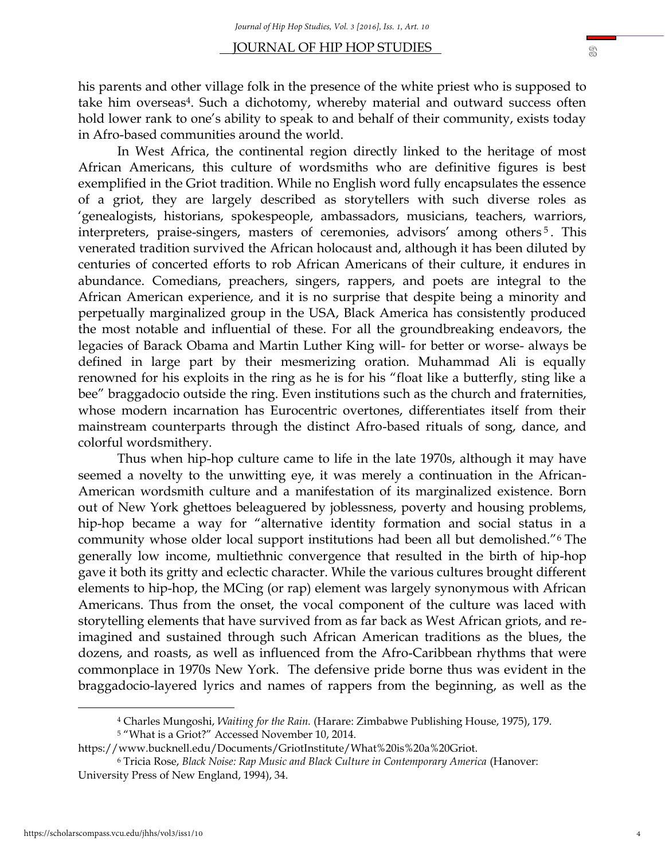his parents and other village folk in the presence of the white priest who is supposed to take him overseas<sup>4</sup>. Such a dichotomy, whereby material and outward success often hold lower rank to one's ability to speak to and behalf of their community, exists today in Afro-based communities around the world.

In West Africa, the continental region directly linked to the heritage of most African Americans, this culture of wordsmiths who are definitive figures is best exemplified in the Griot tradition. While no English word fully encapsulates the essence of a griot, they are largely described as storytellers with such diverse roles as 'genealogists, historians, spokespeople, ambassadors, musicians, teachers, warriors, interpreters, praise-singers, masters of ceremonies, advisors' among others <sup>5</sup> . This venerated tradition survived the African holocaust and, although it has been diluted by centuries of concerted efforts to rob African Americans of their culture, it endures in abundance. Comedians, preachers, singers, rappers, and poets are integral to the African American experience, and it is no surprise that despite being a minority and perpetually marginalized group in the USA, Black America has consistently produced the most notable and influential of these. For all the groundbreaking endeavors, the legacies of Barack Obama and Martin Luther King will- for better or worse- always be defined in large part by their mesmerizing oration. Muhammad Ali is equally renowned for his exploits in the ring as he is for his "float like a butterfly, sting like a bee" braggadocio outside the ring. Even institutions such as the church and fraternities, whose modern incarnation has Eurocentric overtones, differentiates itself from their mainstream counterparts through the distinct Afro-based rituals of song, dance, and colorful wordsmithery.

Thus when hip-hop culture came to life in the late 1970s, although it may have seemed a novelty to the unwitting eye, it was merely a continuation in the African-American wordsmith culture and a manifestation of its marginalized existence. Born out of New York ghettoes beleaguered by joblessness, poverty and housing problems, hip-hop became a way for "alternative identity formation and social status in a community whose older local support institutions had been all but demolished."<sup>6</sup> The generally low income, multiethnic convergence that resulted in the birth of hip-hop gave it both its gritty and eclectic character. While the various cultures brought different elements to hip-hop, the MCing (or rap) element was largely synonymous with African Americans. Thus from the onset, the vocal component of the culture was laced with storytelling elements that have survived from as far back as West African griots, and reimagined and sustained through such African American traditions as the blues, the dozens, and roasts, as well as influenced from the Afro-Caribbean rhythms that were commonplace in 1970s New York. The defensive pride borne thus was evident in the braggadocio-layered lyrics and names of rappers from the beginning, as well as the

<sup>4</sup> Charles Mungoshi, *Waiting for the Rain.* (Harare: Zimbabwe Publishing House, 1975), 179. <sup>5</sup> "What is a Griot?" Accessed November 10, 2014.

https://www.bucknell.edu/Documents/GriotInstitute/What%20is%20a%20Griot.

<sup>6</sup> Tricia Rose, *Black Noise: Rap Music and Black Culture in Contemporary America* (Hanover: University Press of New England, 1994), 34.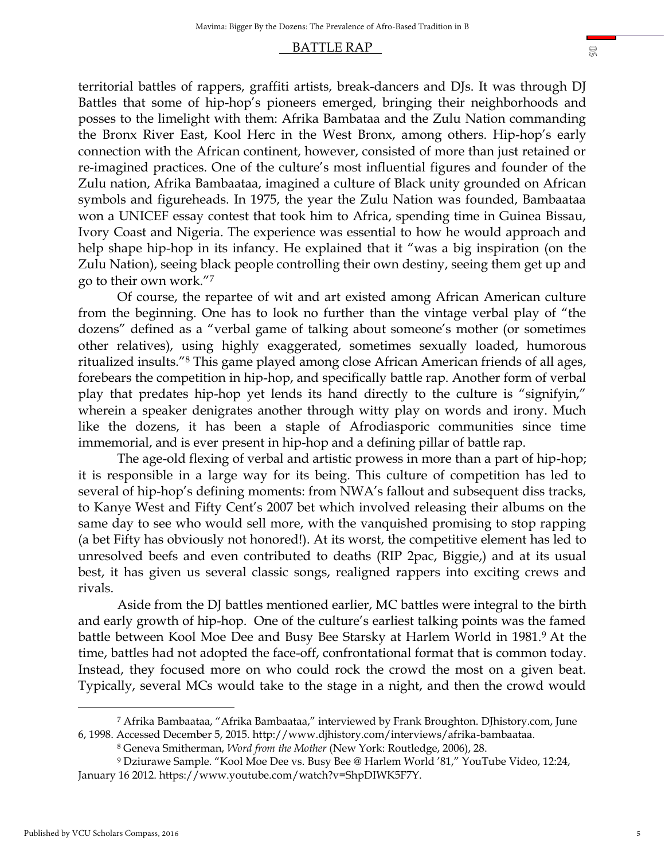territorial battles of rappers, graffiti artists, break-dancers and DJs. It was through DJ Battles that some of hip-hop's pioneers emerged, bringing their neighborhoods and posses to the limelight with them: Afrika Bambataa and the Zulu Nation commanding the Bronx River East, Kool Herc in the West Bronx, among others. Hip-hop's early connection with the African continent, however, consisted of more than just retained or re-imagined practices. One of the culture's most influential figures and founder of the Zulu nation, Afrika Bambaataa, imagined a culture of Black unity grounded on African symbols and figureheads. In 1975, the year the Zulu Nation was founded, Bambaataa won a UNICEF essay contest that took him to Africa, spending time in Guinea Bissau, Ivory Coast and Nigeria. The experience was essential to how he would approach and help shape hip-hop in its infancy. He explained that it "was a big inspiration (on the Zulu Nation), seeing black people controlling their own destiny, seeing them get up and go to their own work."<sup>7</sup>

Of course, the repartee of wit and art existed among African American culture from the beginning. One has to look no further than the vintage verbal play of "the dozens" defined as a "verbal game of talking about someone's mother (or sometimes other relatives), using highly exaggerated, sometimes sexually loaded, humorous ritualized insults."<sup>8</sup> This game played among close African American friends of all ages, forebears the competition in hip-hop, and specifically battle rap. Another form of verbal play that predates hip-hop yet lends its hand directly to the culture is "signifyin," wherein a speaker denigrates another through witty play on words and irony. Much like the dozens, it has been a staple of Afrodiasporic communities since time immemorial, and is ever present in hip-hop and a defining pillar of battle rap.

The age-old flexing of verbal and artistic prowess in more than a part of hip-hop; it is responsible in a large way for its being. This culture of competition has led to several of hip-hop's defining moments: from NWA's fallout and subsequent diss tracks, to Kanye West and Fifty Cent's 2007 bet which involved releasing their albums on the same day to see who would sell more, with the vanquished promising to stop rapping (a bet Fifty has obviously not honored!). At its worst, the competitive element has led to unresolved beefs and even contributed to deaths (RIP 2pac, Biggie,) and at its usual best, it has given us several classic songs, realigned rappers into exciting crews and rivals.

Aside from the DJ battles mentioned earlier, MC battles were integral to the birth and early growth of hip-hop. One of the culture's earliest talking points was the famed battle between Kool Moe Dee and Busy Bee Starsky at Harlem World in 1981.<sup>9</sup> At the time, battles had not adopted the face-off, confrontational format that is common today. Instead, they focused more on who could rock the crowd the most on a given beat. Typically, several MCs would take to the stage in a night, and then the crowd would

<sup>7</sup> Afrika Bambaataa, "Afrika Bambaataa," interviewed by Frank Broughton. DJhistory.com, June 6, 1998. Accessed December 5, 2015. http://www.djhistory.com/interviews/afrika-bambaataa.

<sup>8</sup> Geneva Smitherman, *Word from the Mother* (New York: Routledge, 2006), 28.

<sup>9</sup> Dziurawe Sample. "Kool Moe Dee vs. Busy Bee @ Harlem World '81," YouTube Video, 12:24, January 16 2012. https://www.youtube.com/watch?v=ShpDIWK5F7Y.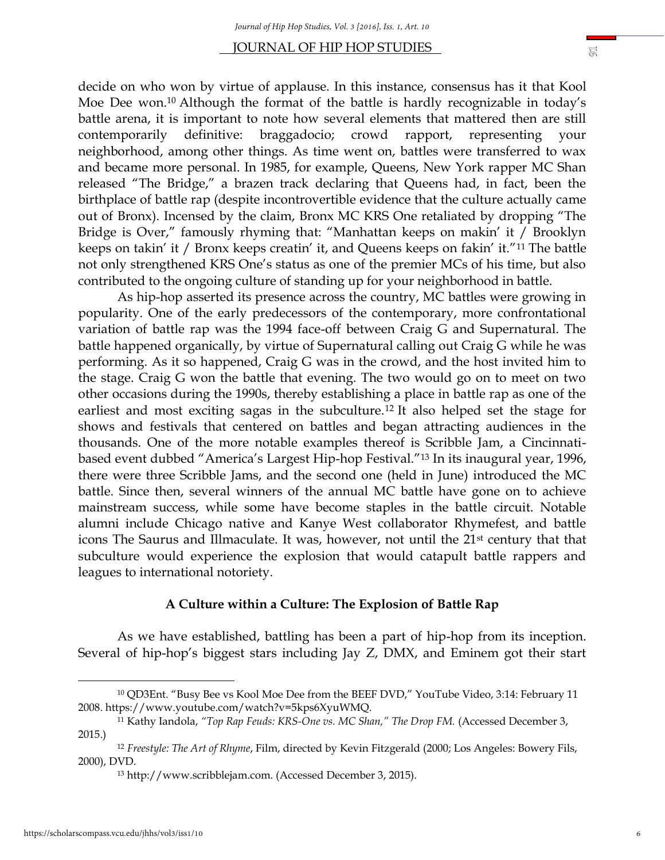decide on who won by virtue of applause. In this instance, consensus has it that Kool Moe Dee won.<sup>10</sup> Although the format of the battle is hardly recognizable in today's battle arena, it is important to note how several elements that mattered then are still contemporarily definitive: braggadocio; crowd rapport, representing your neighborhood, among other things. As time went on, battles were transferred to wax and became more personal. In 1985, for example, Queens, New York rapper MC Shan released "The Bridge," a brazen track declaring that Queens had, in fact, been the birthplace of battle rap (despite incontrovertible evidence that the culture actually came out of Bronx). Incensed by the claim, Bronx MC KRS One retaliated by dropping "The Bridge is Over," famously rhyming that: "Manhattan keeps on makin' it / Brooklyn keeps on takin' it / Bronx keeps creatin' it, and Queens keeps on fakin' it."<sup>11</sup> The battle not only strengthened KRS One's status as one of the premier MCs of his time, but also contributed to the ongoing culture of standing up for your neighborhood in battle.

As hip-hop asserted its presence across the country, MC battles were growing in popularity. One of the early predecessors of the contemporary, more confrontational variation of battle rap was the 1994 face-off between Craig G and Supernatural. The battle happened organically, by virtue of Supernatural calling out Craig G while he was performing. As it so happened, Craig G was in the crowd, and the host invited him to the stage. Craig G won the battle that evening. The two would go on to meet on two other occasions during the 1990s, thereby establishing a place in battle rap as one of the earliest and most exciting sagas in the subculture.<sup>12</sup> It also helped set the stage for shows and festivals that centered on battles and began attracting audiences in the thousands. One of the more notable examples thereof is Scribble Jam, a Cincinnatibased event dubbed "America's Largest Hip-hop Festival."<sup>13</sup> In its inaugural year, 1996, there were three Scribble Jams, and the second one (held in June) introduced the MC battle. Since then, several winners of the annual MC battle have gone on to achieve mainstream success, while some have become staples in the battle circuit. Notable alumni include Chicago native and Kanye West collaborator Rhymefest, and battle icons The Saurus and Illmaculate. It was, however, not until the 21st century that that subculture would experience the explosion that would catapult battle rappers and leagues to international notoriety.

#### **A Culture within a Culture: The Explosion of Battle Rap**

As we have established, battling has been a part of hip-hop from its inception. Several of hip-hop's biggest stars including Jay Z, DMX, and Eminem got their start

<sup>10</sup> QD3Ent. "Busy Bee vs Kool Moe Dee from the BEEF DVD," YouTube Video, 3:14: February 11 2008. [https://www.youtube.com/watch?v=5kps6XyuWMQ.](https://www.youtube.com/watch?v=5kps6XyuWMQ)

<sup>11</sup> Kathy Iandola, *"Top Rap Feuds: KRS-One vs. MC Shan," The Drop FM.* (Accessed December 3, 2015.)

<sup>12</sup> *Freestyle: The Art of Rhyme*, Film, directed by Kevin Fitzgerald (2000; Los Angeles: Bowery Fils, 2000), DVD.

<sup>13</sup> [http://www.scribblejam.com.](http://www.scribblejam.com/) (Accessed December 3, 2015).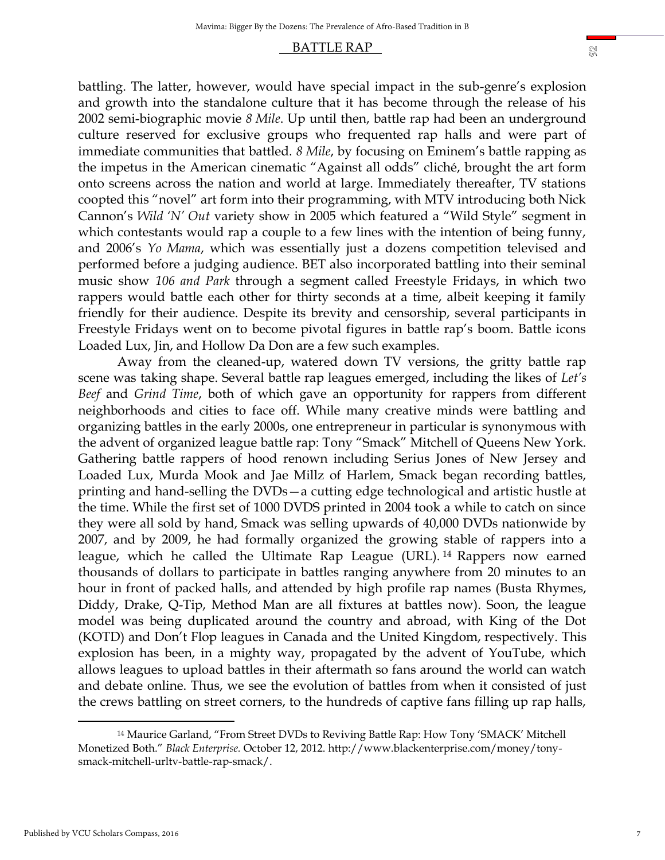battling. The latter, however, would have special impact in the sub-genre's explosion and growth into the standalone culture that it has become through the release of his 2002 semi-biographic movie *8 Mile*. Up until then, battle rap had been an underground culture reserved for exclusive groups who frequented rap halls and were part of immediate communities that battled. *8 Mile*, by focusing on Eminem's battle rapping as the impetus in the American cinematic "Against all odds" cliché, brought the art form onto screens across the nation and world at large. Immediately thereafter, TV stations coopted this "novel" art form into their programming, with MTV introducing both Nick Cannon's *Wild 'N' Out* variety show in 2005 which featured a "Wild Style" segment in which contestants would rap a couple to a few lines with the intention of being funny, and 2006's *Yo Mama*, which was essentially just a dozens competition televised and performed before a judging audience. BET also incorporated battling into their seminal music show *106 and Park* through a segment called Freestyle Fridays, in which two rappers would battle each other for thirty seconds at a time, albeit keeping it family friendly for their audience. Despite its brevity and censorship, several participants in Freestyle Fridays went on to become pivotal figures in battle rap's boom. Battle icons Loaded Lux, Jin, and Hollow Da Don are a few such examples.

Away from the cleaned-up, watered down TV versions, the gritty battle rap scene was taking shape. Several battle rap leagues emerged, including the likes of *Let's Beef* and *Grind Time*, both of which gave an opportunity for rappers from different neighborhoods and cities to face off. While many creative minds were battling and organizing battles in the early 2000s, one entrepreneur in particular is synonymous with the advent of organized league battle rap: Tony "Smack" Mitchell of Queens New York. Gathering battle rappers of hood renown including Serius Jones of New Jersey and Loaded Lux, Murda Mook and Jae Millz of Harlem, Smack began recording battles, printing and hand-selling the DVDs—a cutting edge technological and artistic hustle at the time. While the first set of 1000 DVDS printed in 2004 took a while to catch on since they were all sold by hand, Smack was selling upwards of 40,000 DVDs nationwide by 2007, and by 2009, he had formally organized the growing stable of rappers into a league, which he called the Ultimate Rap League (URL). <sup>14</sup> Rappers now earned thousands of dollars to participate in battles ranging anywhere from 20 minutes to an hour in front of packed halls, and attended by high profile rap names (Busta Rhymes, Diddy, Drake, Q-Tip, Method Man are all fixtures at battles now). Soon, the league model was being duplicated around the country and abroad, with King of the Dot (KOTD) and Don't Flop leagues in Canada and the United Kingdom, respectively. This explosion has been, in a mighty way, propagated by the advent of YouTube, which allows leagues to upload battles in their aftermath so fans around the world can watch and debate online. Thus, we see the evolution of battles from when it consisted of just the crews battling on street corners, to the hundreds of captive fans filling up rap halls,

 $\overline{a}$ 

 $\mathbb{R}$ 

<sup>14</sup> Maurice Garland, "From Street DVDs to Reviving Battle Rap: How Tony 'SMACK' Mitchell Monetized Both." *Black Enterprise.* October 12, 2012. [http://www.blackenterprise.com/money/tony](http://www.blackenterprise.com/money/tony-smack-mitchell-urltv-battle-rap-smack/)[smack-mitchell-urltv-battle-rap-smack/.](http://www.blackenterprise.com/money/tony-smack-mitchell-urltv-battle-rap-smack/)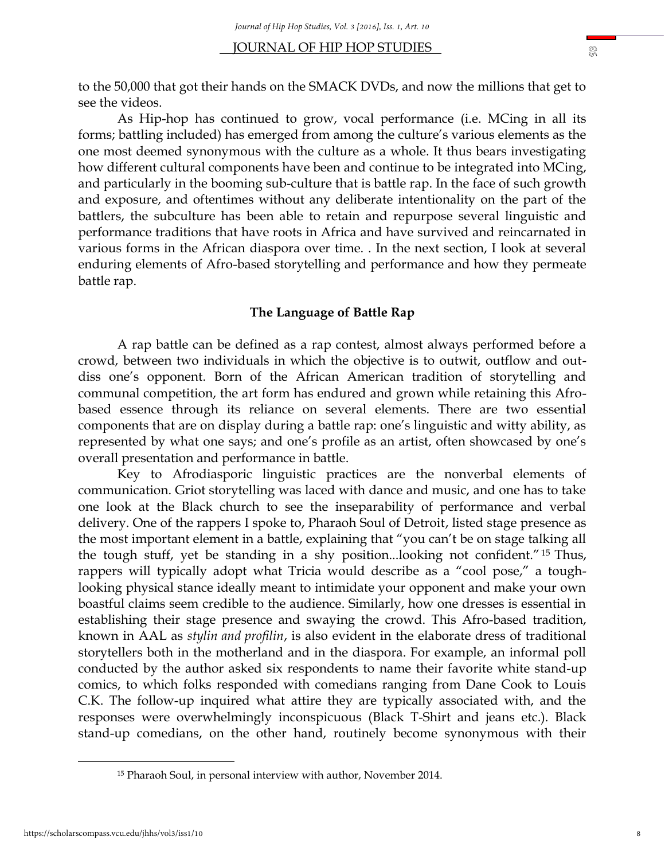to the 50,000 that got their hands on the SMACK DVDs, and now the millions that get to see the videos.

As Hip-hop has continued to grow, vocal performance (i.e. MCing in all its forms; battling included) has emerged from among the culture's various elements as the one most deemed synonymous with the culture as a whole. It thus bears investigating how different cultural components have been and continue to be integrated into MCing, and particularly in the booming sub-culture that is battle rap. In the face of such growth and exposure, and oftentimes without any deliberate intentionality on the part of the battlers, the subculture has been able to retain and repurpose several linguistic and performance traditions that have roots in Africa and have survived and reincarnated in various forms in the African diaspora over time. . In the next section, I look at several enduring elements of Afro-based storytelling and performance and how they permeate battle rap.

#### **The Language of Battle Rap**

A rap battle can be defined as a rap contest, almost always performed before a crowd, between two individuals in which the objective is to outwit, outflow and outdiss one's opponent. Born of the African American tradition of storytelling and communal competition, the art form has endured and grown while retaining this Afrobased essence through its reliance on several elements. There are two essential components that are on display during a battle rap: one's linguistic and witty ability, as represented by what one says; and one's profile as an artist, often showcased by one's overall presentation and performance in battle.

Key to Afrodiasporic linguistic practices are the nonverbal elements of communication. Griot storytelling was laced with dance and music, and one has to take one look at the Black church to see the inseparability of performance and verbal delivery. One of the rappers I spoke to, Pharaoh Soul of Detroit, listed stage presence as the most important element in a battle, explaining that "you can't be on stage talking all the tough stuff, yet be standing in a shy position...looking not confident." <sup>15</sup> Thus, rappers will typically adopt what Tricia would describe as a "cool pose," a toughlooking physical stance ideally meant to intimidate your opponent and make your own boastful claims seem credible to the audience. Similarly, how one dresses is essential in establishing their stage presence and swaying the crowd. This Afro-based tradition, known in AAL as *stylin and profilin*, is also evident in the elaborate dress of traditional storytellers both in the motherland and in the diaspora. For example, an informal poll conducted by the author asked six respondents to name their favorite white stand-up comics, to which folks responded with comedians ranging from Dane Cook to Louis C.K. The follow-up inquired what attire they are typically associated with, and the responses were overwhelmingly inconspicuous (Black T-Shirt and jeans etc.). Black stand-up comedians, on the other hand, routinely become synonymous with their

<sup>15</sup> Pharaoh Soul, in personal interview with author, November 2014.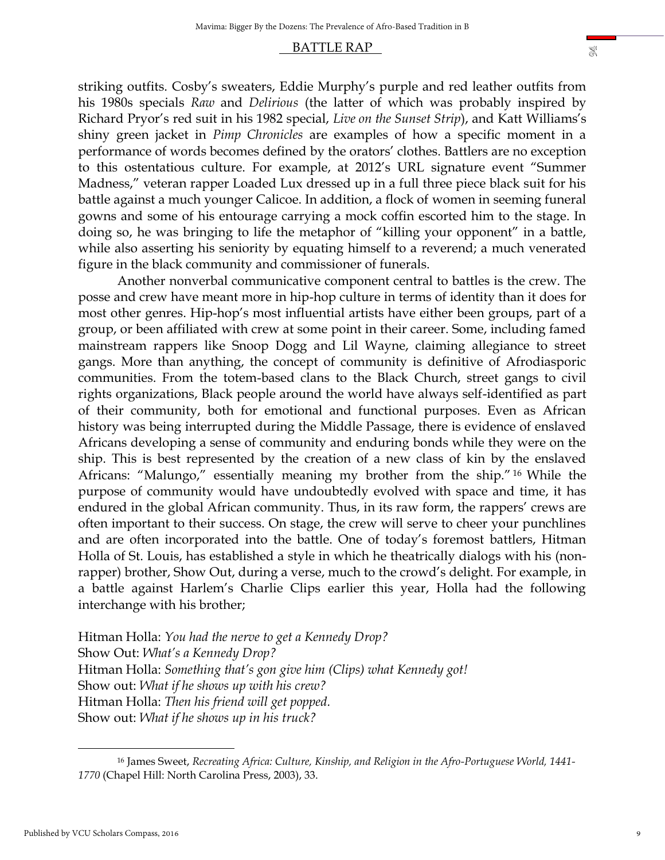striking outfits. Cosby's sweaters, Eddie Murphy's purple and red leather outfits from his 1980s specials *Raw* and *Delirious* (the latter of which was probably inspired by Richard Pryor's red suit in his 1982 special, *Live on the Sunset Strip*), and Katt Williams's shiny green jacket in *Pimp Chronicles* are examples of how a specific moment in a performance of words becomes defined by the orators' clothes. Battlers are no exception to this ostentatious culture. For example, at 2012's URL signature event "Summer Madness," veteran rapper Loaded Lux dressed up in a full three piece black suit for his battle against a much younger Calicoe. In addition, a flock of women in seeming funeral gowns and some of his entourage carrying a mock coffin escorted him to the stage. In doing so, he was bringing to life the metaphor of "killing your opponent" in a battle, while also asserting his seniority by equating himself to a reverend; a much venerated figure in the black community and commissioner of funerals.

Another nonverbal communicative component central to battles is the crew. The posse and crew have meant more in hip-hop culture in terms of identity than it does for most other genres. Hip-hop's most influential artists have either been groups, part of a group, or been affiliated with crew at some point in their career. Some, including famed mainstream rappers like Snoop Dogg and Lil Wayne, claiming allegiance to street gangs. More than anything, the concept of community is definitive of Afrodiasporic communities. From the totem-based clans to the Black Church, street gangs to civil rights organizations, Black people around the world have always self-identified as part of their community, both for emotional and functional purposes. Even as African history was being interrupted during the Middle Passage, there is evidence of enslaved Africans developing a sense of community and enduring bonds while they were on the ship. This is best represented by the creation of a new class of kin by the enslaved Africans: "Malungo," essentially meaning my brother from the ship." <sup>16</sup> While the purpose of community would have undoubtedly evolved with space and time, it has endured in the global African community. Thus, in its raw form, the rappers' crews are often important to their success. On stage, the crew will serve to cheer your punchlines and are often incorporated into the battle. One of today's foremost battlers, Hitman Holla of St. Louis, has established a style in which he theatrically dialogs with his (nonrapper) brother, Show Out, during a verse, much to the crowd's delight. For example, in a battle against Harlem's Charlie Clips earlier this year, Holla had the following interchange with his brother;

Hitman Holla: *You had the nerve to get a Kennedy Drop?* Show Out: *What's a Kennedy Drop?* Hitman Holla: *Something that's gon give him (Clips) what Kennedy got!* Show out: *What if he shows up with his crew?* Hitman Holla: *Then his friend will get popped.* Show out: *What if he shows up in his truck?*

<sup>16</sup> James Sweet, *Recreating Africa: Culture, Kinship, and Religion in the Afro-Portuguese World, 1441- 1770* (Chapel Hill: North Carolina Press, 2003), 33.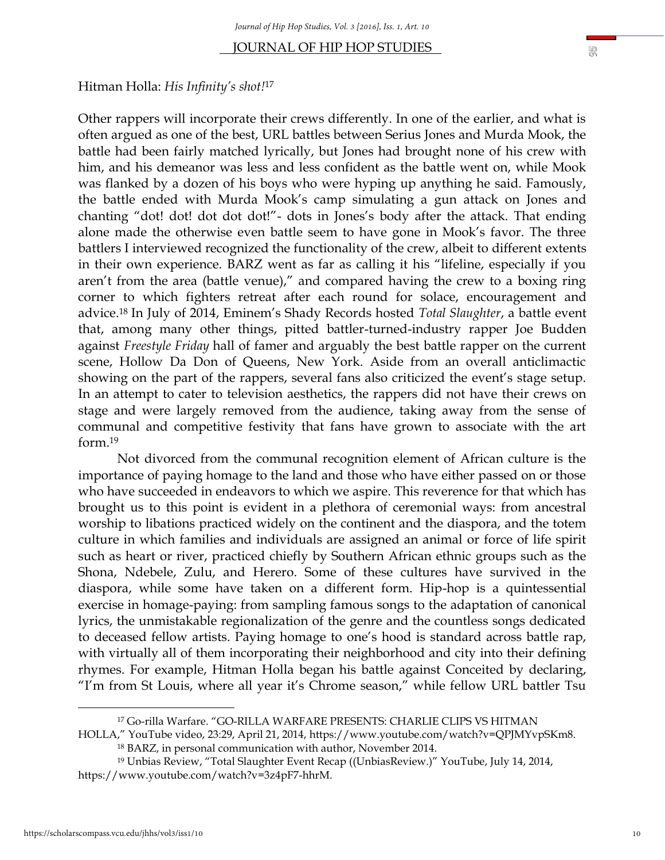## Hitman Holla: *His Infinity's shot!*<sup>17</sup>

Other rappers will incorporate their crews differently. In one of the earlier, and what is often argued as one of the best, URL battles between Serius Jones and Murda Mook, the battle had been fairly matched lyrically, but Jones had brought none of his crew with him, and his demeanor was less and less confident as the battle went on, while Mook was flanked by a dozen of his boys who were hyping up anything he said. Famously, the battle ended with Murda Mook's camp simulating a gun attack on Jones and chanting "dot! dot! dot dot dot!"- dots in Jones's body after the attack. That ending alone made the otherwise even battle seem to have gone in Mook's favor. The three battlers I interviewed recognized the functionality of the crew, albeit to different extents in their own experience. BARZ went as far as calling it his "lifeline, especially if you aren't from the area (battle venue)," and compared having the crew to a boxing ring corner to which fighters retreat after each round for solace, encouragement and advice. <sup>18</sup> In July of 2014, Eminem's Shady Records hosted *Total Slaughter*, a battle event that, among many other things, pitted battler-turned-industry rapper Joe Budden against *Freestyle Friday* hall of famer and arguably the best battle rapper on the current scene, Hollow Da Don of Queens, New York. Aside from an overall anticlimactic showing on the part of the rappers, several fans also criticized the event's stage setup. In an attempt to cater to television aesthetics, the rappers did not have their crews on stage and were largely removed from the audience, taking away from the sense of communal and competitive festivity that fans have grown to associate with the art form.<sup>19</sup>

Not divorced from the communal recognition element of African culture is the importance of paying homage to the land and those who have either passed on or those who have succeeded in endeavors to which we aspire. This reverence for that which has brought us to this point is evident in a plethora of ceremonial ways: from ancestral worship to libations practiced widely on the continent and the diaspora, and the totem culture in which families and individuals are assigned an animal or force of life spirit such as heart or river, practiced chiefly by Southern African ethnic groups such as the Shona, Ndebele, Zulu, and Herero. Some of these cultures have survived in the diaspora, while some have taken on a different form. Hip-hop is a quintessential exercise in homage-paying: from sampling famous songs to the adaptation of canonical lyrics, the unmistakable regionalization of the genre and the countless songs dedicated to deceased fellow artists. Paying homage to one's hood is standard across battle rap, with virtually all of them incorporating their neighborhood and city into their defining rhymes. For example, Hitman Holla began his battle against Conceited by declaring, "I'm from St Louis, where all year it's Chrome season," while fellow URL battler Tsu

<sup>17</sup> Go-rilla Warfare. "GO-RILLA WARFARE PRESENTS: CHARLIE CLIPS VS HITMAN

HOLLA," YouTube video, 23:29, April 21, 2014, https://www.youtube.com/watch?v=QPJMYvpSKm8. <sup>18</sup> BARZ, in personal communication with author, November 2014.

<sup>19</sup> Unbias Review, "Total Slaughter Event Recap ((UnbiasReview.)" YouTube, July 14, 2014, https://www.youtube.com/watch?v=3z4pF7-hhrM.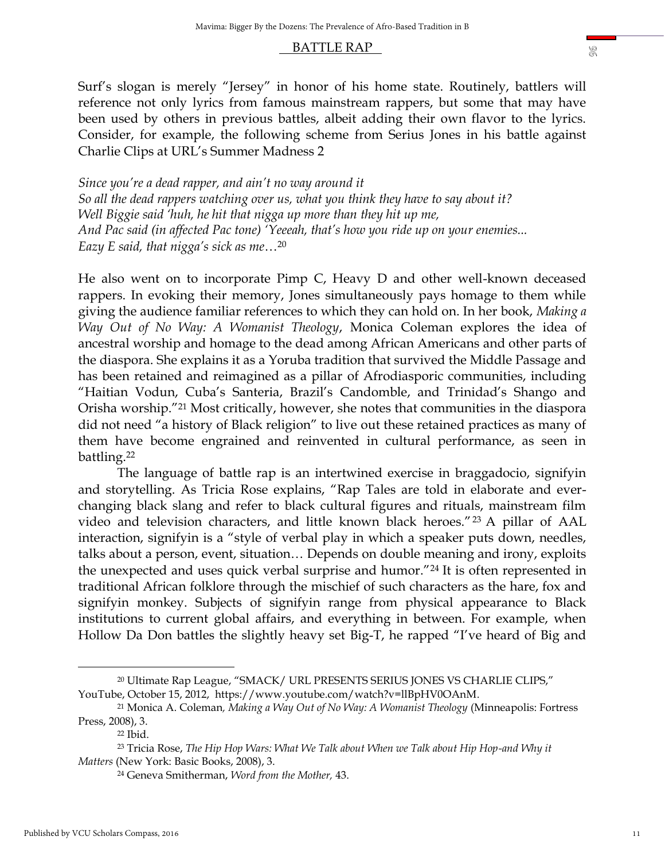Surf's slogan is merely "Jersey" in honor of his home state. Routinely, battlers will reference not only lyrics from famous mainstream rappers, but some that may have been used by others in previous battles, albeit adding their own flavor to the lyrics. Consider, for example, the following scheme from Serius Jones in his battle against Charlie Clips at URL's Summer Madness 2

*Since you're a dead rapper, and ain't no way around it So all the dead rappers watching over us, what you think they have to say about it? Well Biggie said 'huh, he hit that nigga up more than they hit up me, And Pac said (in affected Pac tone) 'Yeeeah, that's how you ride up on your enemies... Eazy E said, that nigga's sick as me*…<sup>20</sup>

He also went on to incorporate Pimp C, Heavy D and other well-known deceased rappers. In evoking their memory, Jones simultaneously pays homage to them while giving the audience familiar references to which they can hold on. In her book, *Making a Way Out of No Way: A Womanist Theology*, Monica Coleman explores the idea of ancestral worship and homage to the dead among African Americans and other parts of the diaspora. She explains it as a Yoruba tradition that survived the Middle Passage and has been retained and reimagined as a pillar of Afrodiasporic communities, including "Haitian Vodun, Cuba's Santeria, Brazil's Candomble, and Trinidad's Shango and Orisha worship."<sup>21</sup> Most critically, however, she notes that communities in the diaspora did not need "a history of Black religion" to live out these retained practices as many of them have become engrained and reinvented in cultural performance, as seen in battling.<sup>22</sup>

The language of battle rap is an intertwined exercise in braggadocio, signifyin and storytelling. As Tricia Rose explains, "Rap Tales are told in elaborate and everchanging black slang and refer to black cultural figures and rituals, mainstream film video and television characters, and little known black heroes."<sup>23</sup> A pillar of AAL interaction, signifyin is a "style of verbal play in which a speaker puts down, needles, talks about a person, event, situation… Depends on double meaning and irony, exploits the unexpected and uses quick verbal surprise and humor."<sup>24</sup> It is often represented in traditional African folklore through the mischief of such characters as the hare, fox and signifyin monkey. Subjects of signifyin range from physical appearance to Black institutions to current global affairs, and everything in between. For example, when Hollow Da Don battles the slightly heavy set Big-T, he rapped "I've heard of Big and

<sup>20</sup> Ultimate Rap League, "SMACK/ URL PRESENTS SERIUS JONES VS CHARLIE CLIPS," YouTube, October 15, 2012, [https://www.youtube.com/watch?v=llBpHV0OAnM.](https://www.youtube.com/watch?v=llBpHV0OAnM)

<sup>21</sup> Monica A. Coleman*, Making a Way Out of No Way: A Womanist Theology* (Minneapolis: Fortress Press, 2008), 3.

<sup>22</sup> Ibid.

<sup>23</sup> Tricia Rose, *The Hip Hop Wars: What We Talk about When we Talk about Hip Hop-and Why it Matters* (New York: Basic Books, 2008), 3.

<sup>24</sup> Geneva Smitherman, *Word from the Mother,* 43.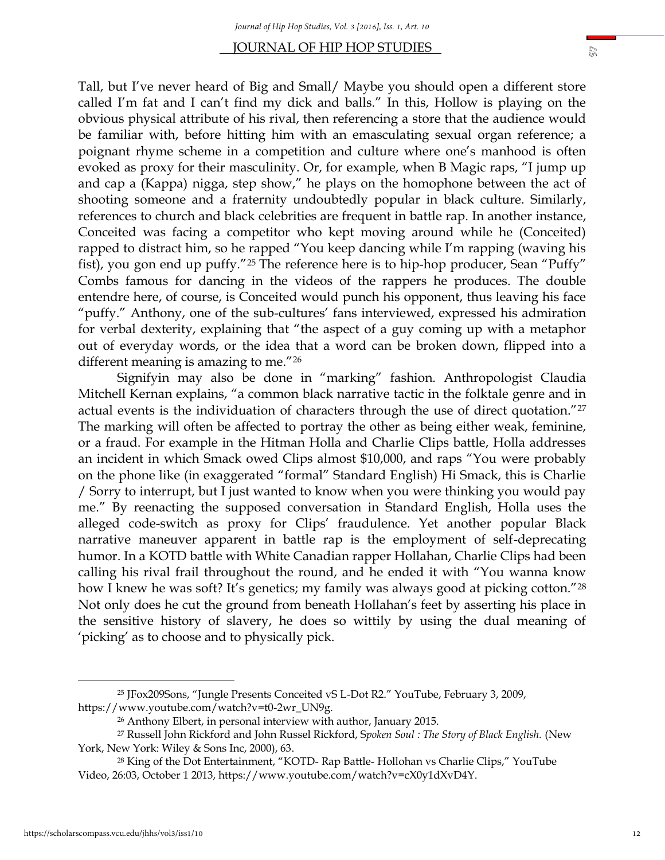Tall, but I've never heard of Big and Small/ Maybe you should open a different store called I'm fat and I can't find my dick and balls." In this, Hollow is playing on the obvious physical attribute of his rival, then referencing a store that the audience would be familiar with, before hitting him with an emasculating sexual organ reference; a poignant rhyme scheme in a competition and culture where one's manhood is often evoked as proxy for their masculinity. Or, for example, when B Magic raps, "I jump up and cap a (Kappa) nigga, step show," he plays on the homophone between the act of shooting someone and a fraternity undoubtedly popular in black culture. Similarly, references to church and black celebrities are frequent in battle rap. In another instance, Conceited was facing a competitor who kept moving around while he (Conceited) rapped to distract him, so he rapped "You keep dancing while I'm rapping (waving his fist), you gon end up puffy."<sup>25</sup> The reference here is to hip-hop producer, Sean "Puffy" Combs famous for dancing in the videos of the rappers he produces. The double entendre here, of course, is Conceited would punch his opponent, thus leaving his face "puffy." Anthony, one of the sub-cultures' fans interviewed, expressed his admiration for verbal dexterity, explaining that "the aspect of a guy coming up with a metaphor out of everyday words, or the idea that a word can be broken down, flipped into a different meaning is amazing to me."<sup>26</sup>

Signifyin may also be done in "marking" fashion. Anthropologist Claudia Mitchell Kernan explains, "a common black narrative tactic in the folktale genre and in actual events is the individuation of characters through the use of direct quotation."<sup>27</sup> The marking will often be affected to portray the other as being either weak, feminine, or a fraud. For example in the Hitman Holla and Charlie Clips battle, Holla addresses an incident in which Smack owed Clips almost \$10,000, and raps "You were probably on the phone like (in exaggerated "formal" Standard English) Hi Smack, this is Charlie / Sorry to interrupt, but I just wanted to know when you were thinking you would pay me." By reenacting the supposed conversation in Standard English, Holla uses the alleged code-switch as proxy for Clips' fraudulence. Yet another popular Black narrative maneuver apparent in battle rap is the employment of self-deprecating humor. In a KOTD battle with White Canadian rapper Hollahan, Charlie Clips had been calling his rival frail throughout the round, and he ended it with "You wanna know how I knew he was soft? It's genetics; my family was always good at picking cotton."<sup>28</sup> Not only does he cut the ground from beneath Hollahan's feet by asserting his place in the sensitive history of slavery, he does so wittily by using the dual meaning of 'picking' as to choose and to physically pick.

<sup>25</sup> JFox209Sons, "Jungle Presents Conceited vS L-Dot R2." YouTube, February 3, 2009, https://www.youtube.com/watch?v=t0-2wr\_UN9g.

<sup>26</sup> Anthony Elbert, in personal interview with author, January 2015.

<sup>27</sup> Russell John Rickford and John Russel Rickford, S*poken Soul : The Story of Black English.* (New York, New York: Wiley & Sons Inc, 2000), 63.

<sup>28</sup> King of the Dot Entertainment, "KOTD- Rap Battle- Hollohan vs Charlie Clips," YouTube Video, 26:03, October 1 2013, https://www.youtube.com/watch?v=cX0y1dXvD4Y.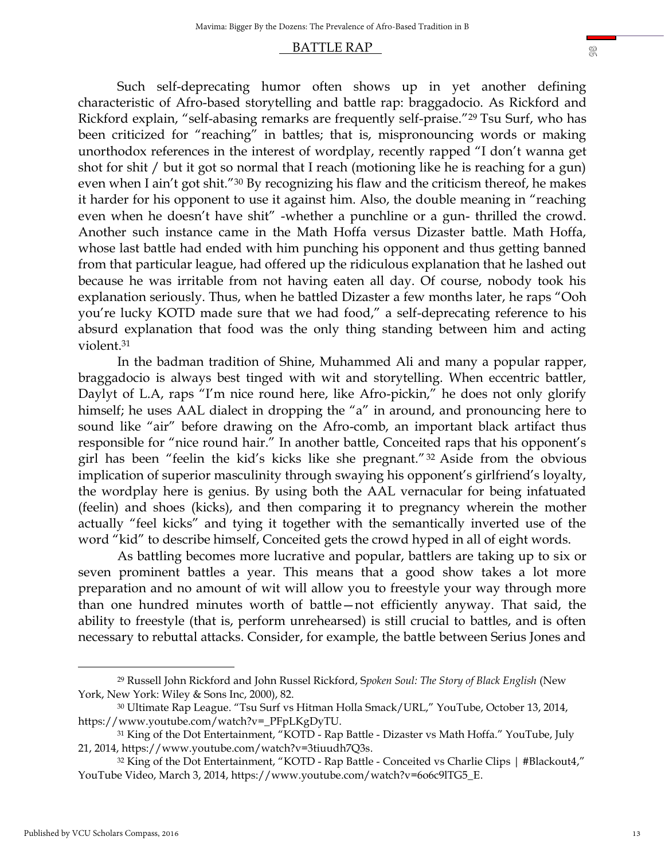Such self-deprecating humor often shows up in yet another defining characteristic of Afro-based storytelling and battle rap: braggadocio. As Rickford and Rickford explain, "self-abasing remarks are frequently self-praise."<sup>29</sup> Tsu Surf, who has been criticized for "reaching" in battles; that is, mispronouncing words or making unorthodox references in the interest of wordplay, recently rapped "I don't wanna get shot for shit / but it got so normal that I reach (motioning like he is reaching for a gun) even when I ain't got shit."<sup>30</sup> By recognizing his flaw and the criticism thereof, he makes it harder for his opponent to use it against him. Also, the double meaning in "reaching even when he doesn't have shit" -whether a punchline or a gun- thrilled the crowd. Another such instance came in the Math Hoffa versus Dizaster battle. Math Hoffa, whose last battle had ended with him punching his opponent and thus getting banned from that particular league, had offered up the ridiculous explanation that he lashed out because he was irritable from not having eaten all day. Of course, nobody took his explanation seriously. Thus, when he battled Dizaster a few months later, he raps "Ooh you're lucky KOTD made sure that we had food," a self-deprecating reference to his absurd explanation that food was the only thing standing between him and acting violent.<sup>31</sup>

In the badman tradition of Shine, Muhammed Ali and many a popular rapper, braggadocio is always best tinged with wit and storytelling. When eccentric battler, Daylyt of L.A, raps "I'm nice round here, like Afro-pickin," he does not only glorify himself; he uses AAL dialect in dropping the "a" in around, and pronouncing here to sound like "air" before drawing on the Afro-comb, an important black artifact thus responsible for "nice round hair." In another battle, Conceited raps that his opponent's girl has been "feelin the kid's kicks like she pregnant."<sup>32</sup> Aside from the obvious implication of superior masculinity through swaying his opponent's girlfriend's loyalty, the wordplay here is genius. By using both the AAL vernacular for being infatuated (feelin) and shoes (kicks), and then comparing it to pregnancy wherein the mother actually "feel kicks" and tying it together with the semantically inverted use of the word "kid" to describe himself, Conceited gets the crowd hyped in all of eight words.

As battling becomes more lucrative and popular, battlers are taking up to six or seven prominent battles a year. This means that a good show takes a lot more preparation and no amount of wit will allow you to freestyle your way through more than one hundred minutes worth of battle—not efficiently anyway. That said, the ability to freestyle (that is, perform unrehearsed) is still crucial to battles, and is often necessary to rebuttal attacks. Consider, for example, the battle between Serius Jones and

<sup>29</sup> Russell John Rickford and John Russel Rickford, S*poken Soul: The Story of Black English* (New York, New York: Wiley & Sons Inc, 2000), 82.

<sup>30</sup> Ultimate Rap League. "Tsu Surf vs Hitman Holla Smack/URL," YouTube, October 13, 2014, https://www.youtube.com/watch?v=\_PFpLKgDyTU.

<sup>&</sup>lt;sup>31</sup> King of the Dot Entertainment, "KOTD - Rap Battle - Dizaster vs Math Hoffa." YouTube, July 21, 2014, [https://www.youtube.com/watch?v=3tiuudh7Q3s.](https://www.youtube.com/watch?v=3tiuudh7Q3s)

<sup>&</sup>lt;sup>32</sup> King of the Dot Entertainment, "KOTD - Rap Battle - Conceited vs Charlie Clips | #Blackout4," YouTube Video, March 3, 2014, https://www.youtube.com/watch?v=6o6c9lTG5\_E.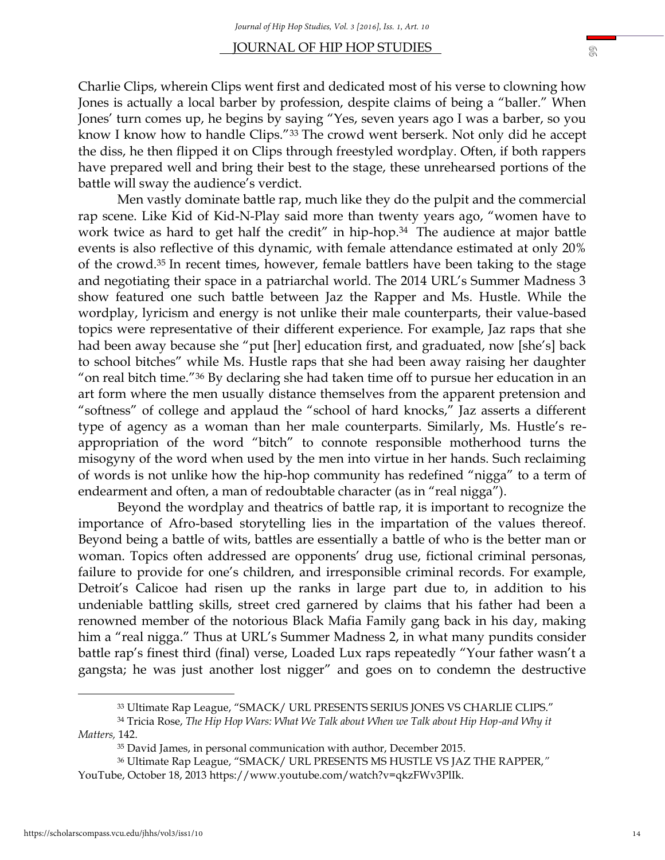Charlie Clips, wherein Clips went first and dedicated most of his verse to clowning how Jones is actually a local barber by profession, despite claims of being a "baller." When Jones' turn comes up, he begins by saying "Yes, seven years ago I was a barber, so you know I know how to handle Clips."<sup>33</sup> The crowd went berserk. Not only did he accept the diss, he then flipped it on Clips through freestyled wordplay. Often, if both rappers have prepared well and bring their best to the stage, these unrehearsed portions of the battle will sway the audience's verdict.

Men vastly dominate battle rap, much like they do the pulpit and the commercial rap scene. Like Kid of Kid-N-Play said more than twenty years ago, "women have to work twice as hard to get half the credit" in hip-hop. <sup>34</sup> The audience at major battle events is also reflective of this dynamic, with female attendance estimated at only 20% of the crowd.<sup>35</sup> In recent times, however, female battlers have been taking to the stage and negotiating their space in a patriarchal world. The 2014 URL's Summer Madness 3 show featured one such battle between Jaz the Rapper and Ms. Hustle. While the wordplay, lyricism and energy is not unlike their male counterparts, their value-based topics were representative of their different experience. For example, Jaz raps that she had been away because she "put [her] education first, and graduated, now [she's] back to school bitches" while Ms. Hustle raps that she had been away raising her daughter "on real bitch time."<sup>36</sup> By declaring she had taken time off to pursue her education in an art form where the men usually distance themselves from the apparent pretension and "softness" of college and applaud the "school of hard knocks," Jaz asserts a different type of agency as a woman than her male counterparts. Similarly, Ms. Hustle's reappropriation of the word "bitch" to connote responsible motherhood turns the misogyny of the word when used by the men into virtue in her hands. Such reclaiming of words is not unlike how the hip-hop community has redefined "nigga" to a term of endearment and often, a man of redoubtable character (as in "real nigga").

Beyond the wordplay and theatrics of battle rap, it is important to recognize the importance of Afro-based storytelling lies in the impartation of the values thereof. Beyond being a battle of wits, battles are essentially a battle of who is the better man or woman. Topics often addressed are opponents' drug use, fictional criminal personas, failure to provide for one's children, and irresponsible criminal records. For example, Detroit's Calicoe had risen up the ranks in large part due to, in addition to his undeniable battling skills, street cred garnered by claims that his father had been a renowned member of the notorious Black Mafia Family gang back in his day, making him a "real nigga." Thus at URL's Summer Madness 2, in what many pundits consider battle rap's finest third (final) verse, Loaded Lux raps repeatedly "Your father wasn't a gangsta; he was just another lost nigger" and goes on to condemn the destructive

<sup>33</sup> Ultimate Rap League, "SMACK/ URL PRESENTS SERIUS JONES VS CHARLIE CLIPS."

<sup>34</sup> Tricia Rose, *The Hip Hop Wars: What We Talk about When we Talk about Hip Hop-and Why it Matters,* 142.

<sup>35</sup> David James, in personal communication with author, December 2015.

<sup>36</sup> Ultimate Rap League, "SMACK/ URL PRESENTS MS HUSTLE VS JAZ THE RAPPER,*"*  YouTube, October 18, 2013 [https://www.youtube.com/watch?v=qkzFWv3PlIk.](https://www.youtube.com/watch?v=qkzFWv3PlIk)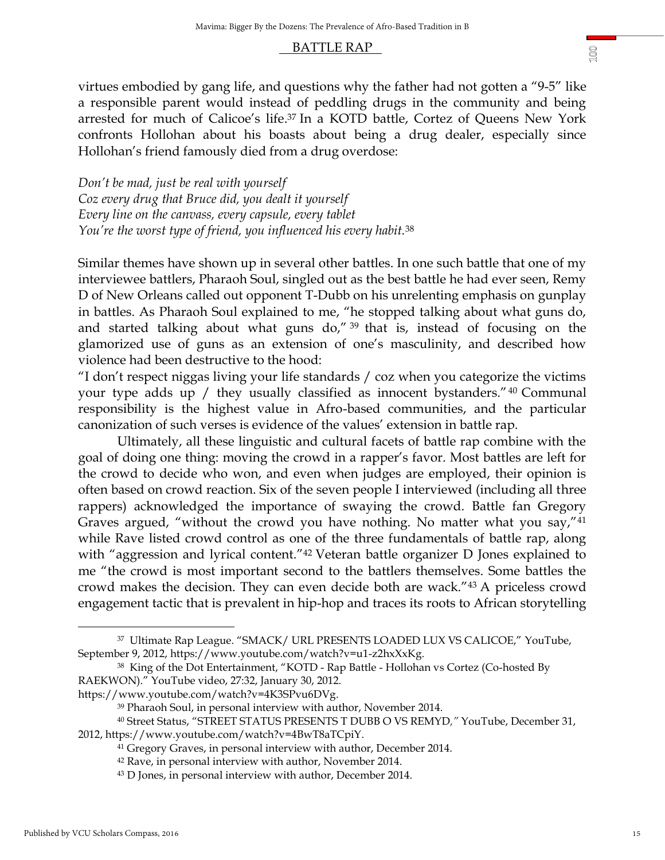virtues embodied by gang life, and questions why the father had not gotten a "9-5" like a responsible parent would instead of peddling drugs in the community and being arrested for much of Calicoe's life. <sup>37</sup> In a KOTD battle, Cortez of Queens New York confronts Hollohan about his boasts about being a drug dealer, especially since Hollohan's friend famously died from a drug overdose:

*Don't be mad, just be real with yourself Coz every drug that Bruce did, you dealt it yourself Every line on the canvass, every capsule, every tablet You're the worst type of friend, you influenced his every habit.*<sup>38</sup>

Similar themes have shown up in several other battles. In one such battle that one of my interviewee battlers, Pharaoh Soul, singled out as the best battle he had ever seen, Remy D of New Orleans called out opponent T-Dubb on his unrelenting emphasis on gunplay in battles. As Pharaoh Soul explained to me, "he stopped talking about what guns do, and started talking about what guns do," <sup>39</sup> that is, instead of focusing on the glamorized use of guns as an extension of one's masculinity, and described how violence had been destructive to the hood:

"I don't respect niggas living your life standards / coz when you categorize the victims your type adds up / they usually classified as innocent bystanders."<sup>40</sup> Communal responsibility is the highest value in Afro-based communities, and the particular canonization of such verses is evidence of the values' extension in battle rap.

Ultimately, all these linguistic and cultural facets of battle rap combine with the goal of doing one thing: moving the crowd in a rapper's favor. Most battles are left for the crowd to decide who won, and even when judges are employed, their opinion is often based on crowd reaction. Six of the seven people I interviewed (including all three rappers) acknowledged the importance of swaying the crowd. Battle fan Gregory Graves argued, "without the crowd you have nothing. No matter what you say,"<sup>41</sup> while Rave listed crowd control as one of the three fundamentals of battle rap, along with "aggression and lyrical content."<sup>42</sup> Veteran battle organizer D Jones explained to me "the crowd is most important second to the battlers themselves. Some battles the crowd makes the decision. They can even decide both are wack."<sup>43</sup> A priceless crowd engagement tactic that is prevalent in hip-hop and traces its roots to African storytelling

[https://www.youtube.com/watch?v=4K3SPvu6DVg.](https://www.youtube.com/watch?v=4K3SPvu6DVg)

 $\overline{a}$ 

15

<sup>37</sup> Ultimate Rap League. "SMACK/ URL PRESENTS LOADED LUX VS CALICOE," YouTube, September 9, 2012[, https://www.youtube.com/watch?v=u1-z2hxXxKg.](https://www.youtube.com/watch?v=u1-z2hxXxKg) 

<sup>38</sup> King of the Dot Entertainment, "KOTD - Rap Battle - Hollohan vs Cortez (Co-hosted By RAEKWON)." YouTube video, 27:32, January 30, 2012.

<sup>&</sup>lt;sup>39</sup> Pharaoh Soul, in personal interview with author, November 2014.

<sup>40</sup> Street Status, "STREET STATUS PRESENTS T DUBB O VS REMYD*,"* YouTube, December 31, 2012, [https://www.youtube.com/watch?v=4BwT8aTCpiY.](https://www.youtube.com/watch?v=4BwT8aTCpiY)

<sup>&</sup>lt;sup>41</sup> Gregory Graves, in personal interview with author, December 2014.

<sup>42</sup> Rave, in personal interview with author, November 2014.

<sup>43</sup> D Jones, in personal interview with author, December 2014.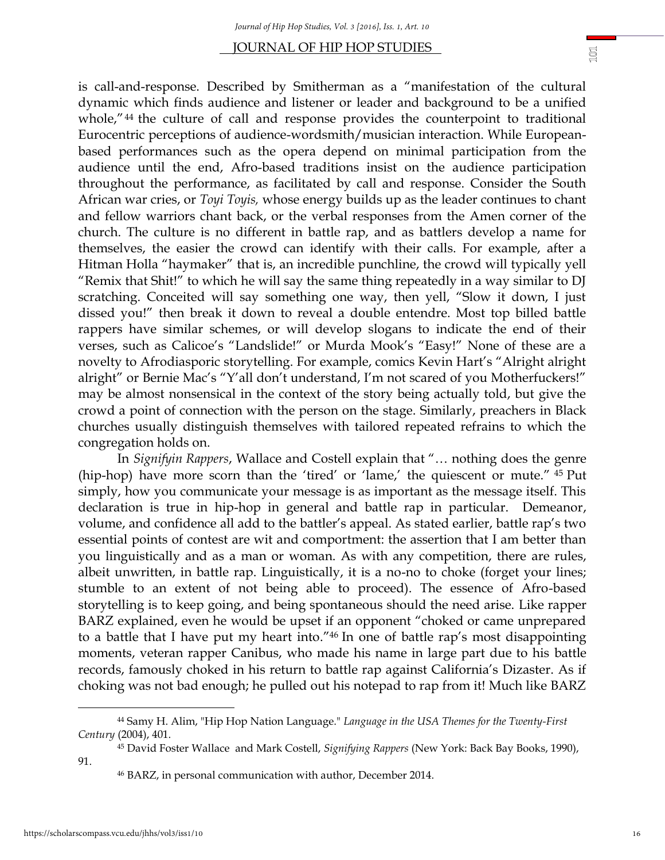is call-and-response. Described by Smitherman as a "manifestation of the cultural dynamic which finds audience and listener or leader and background to be a unified whole,"<sup>44</sup> the culture of call and response provides the counterpoint to traditional Eurocentric perceptions of audience-wordsmith/musician interaction. While Europeanbased performances such as the opera depend on minimal participation from the audience until the end, Afro-based traditions insist on the audience participation throughout the performance, as facilitated by call and response. Consider the South African war cries, or *Toyi Toyis,* whose energy builds up as the leader continues to chant and fellow warriors chant back, or the verbal responses from the Amen corner of the church. The culture is no different in battle rap, and as battlers develop a name for themselves, the easier the crowd can identify with their calls. For example, after a Hitman Holla "haymaker" that is, an incredible punchline, the crowd will typically yell "Remix that Shit!" to which he will say the same thing repeatedly in a way similar to DJ scratching. Conceited will say something one way, then yell, "Slow it down, I just dissed you!" then break it down to reveal a double entendre. Most top billed battle rappers have similar schemes, or will develop slogans to indicate the end of their verses, such as Calicoe's "Landslide!" or Murda Mook's "Easy!" None of these are a novelty to Afrodiasporic storytelling. For example, comics Kevin Hart's "Alright alright alright" or Bernie Mac's "Y'all don't understand, I'm not scared of you Motherfuckers!" may be almost nonsensical in the context of the story being actually told, but give the crowd a point of connection with the person on the stage. Similarly, preachers in Black churches usually distinguish themselves with tailored repeated refrains to which the congregation holds on.

In *Signifyin Rappers*, Wallace and Costell explain that "… nothing does the genre (hip-hop) have more scorn than the 'tired' or 'lame,' the quiescent or mute." 45 Put simply, how you communicate your message is as important as the message itself. This declaration is true in hip-hop in general and battle rap in particular. Demeanor, volume, and confidence all add to the battler's appeal. As stated earlier, battle rap's two essential points of contest are wit and comportment: the assertion that I am better than you linguistically and as a man or woman. As with any competition, there are rules, albeit unwritten, in battle rap. Linguistically, it is a no-no to choke (forget your lines; stumble to an extent of not being able to proceed). The essence of Afro-based storytelling is to keep going, and being spontaneous should the need arise. Like rapper BARZ explained, even he would be upset if an opponent "choked or came unprepared to a battle that I have put my heart into."<sup>46</sup> In one of battle rap's most disappointing moments, veteran rapper Canibus, who made his name in large part due to his battle records, famously choked in his return to battle rap against California's Dizaster. As if choking was not bad enough; he pulled out his notepad to rap from it! Much like BARZ

<sup>44</sup> Samy H. Alim, "Hip Hop Nation Language." *Language in the USA Themes for the Twenty-First Century* (2004), 401.

<sup>45</sup> David Foster Wallace and Mark Costell, *Signifying Rappers* (New York: Back Bay Books, 1990), 91.

<sup>46</sup> BARZ, in personal communication with author, December 2014.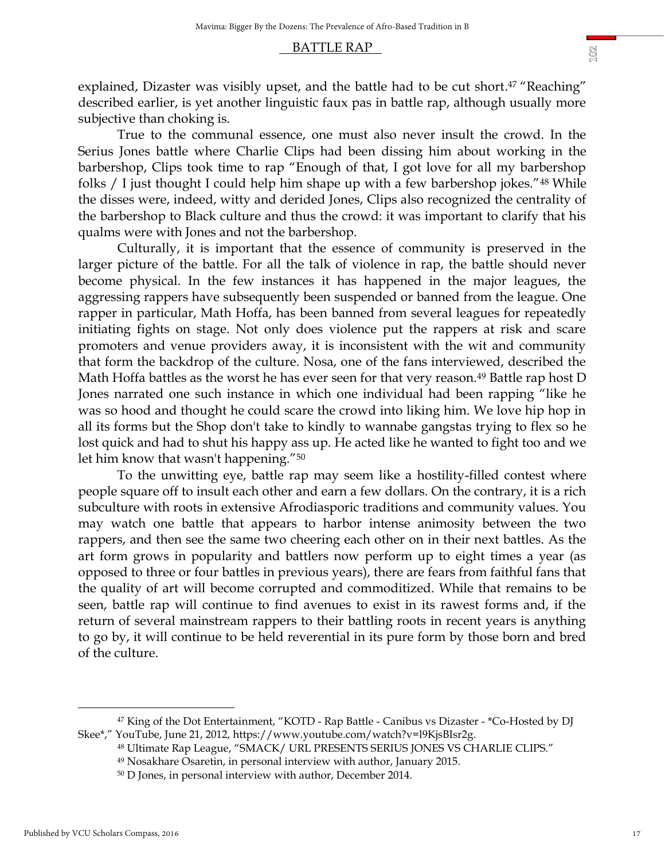explained, Dizaster was visibly upset, and the battle had to be cut short.<sup>47</sup> "Reaching" described earlier, is yet another linguistic faux pas in battle rap, although usually more subjective than choking is.

True to the communal essence, one must also never insult the crowd. In the Serius Jones battle where Charlie Clips had been dissing him about working in the barbershop, Clips took time to rap "Enough of that, I got love for all my barbershop folks / I just thought I could help him shape up with a few barbershop jokes."<sup>48</sup> While the disses were, indeed, witty and derided Jones, Clips also recognized the centrality of the barbershop to Black culture and thus the crowd: it was important to clarify that his qualms were with Jones and not the barbershop.

Culturally, it is important that the essence of community is preserved in the larger picture of the battle. For all the talk of violence in rap, the battle should never become physical. In the few instances it has happened in the major leagues, the aggressing rappers have subsequently been suspended or banned from the league. One rapper in particular, Math Hoffa, has been banned from several leagues for repeatedly initiating fights on stage. Not only does violence put the rappers at risk and scare promoters and venue providers away, it is inconsistent with the wit and community that form the backdrop of the culture. Nosa, one of the fans interviewed, described the Math Hoffa battles as the worst he has ever seen for that very reason.<sup>49</sup> Battle rap host D Jones narrated one such instance in which one individual had been rapping "like he was so hood and thought he could scare the crowd into liking him. We love hip hop in all its forms but the Shop don't take to kindly to wannabe gangstas trying to flex so he lost quick and had to shut his happy ass up. He acted like he wanted to fight too and we let him know that wasn't happening."<sup>50</sup>

To the unwitting eye, battle rap may seem like a hostility-filled contest where people square off to insult each other and earn a few dollars. On the contrary, it is a rich subculture with roots in extensive Afrodiasporic traditions and community values. You may watch one battle that appears to harbor intense animosity between the two rappers, and then see the same two cheering each other on in their next battles. As the art form grows in popularity and battlers now perform up to eight times a year (as opposed to three or four battles in previous years), there are fears from faithful fans that the quality of art will become corrupted and commoditized. While that remains to be seen, battle rap will continue to find avenues to exist in its rawest forms and, if the return of several mainstream rappers to their battling roots in recent years is anything to go by, it will continue to be held reverential in its pure form by those born and bred of the culture.

<sup>47</sup> King of the Dot Entertainment, "KOTD - Rap Battle - Canibus vs Dizaster - \*Co-Hosted by DJ Skee\*," YouTube, June 21, 2012, [https://www.youtube.com/watch?v=l9KjsBIsr2g.](https://www.youtube.com/watch?v=l9KjsBIsr2g)

<sup>48</sup> Ultimate Rap League, "SMACK/ URL PRESENTS SERIUS JONES VS CHARLIE CLIPS."

<sup>49</sup> Nosakhare Osaretin, in personal interview with author, January 2015.

<sup>50</sup> D Jones, in personal interview with author, December 2014.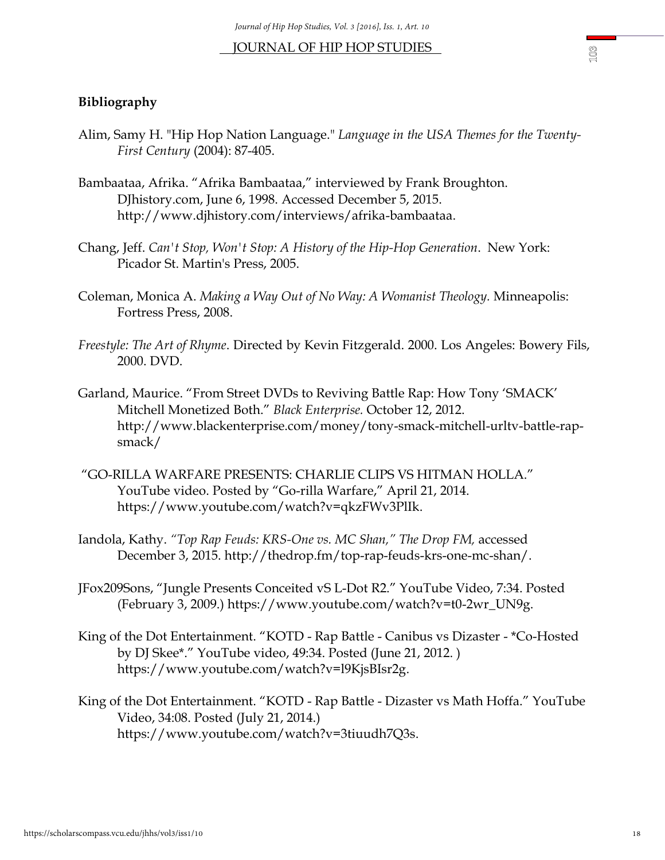#### **Bibliography**

- Alim, Samy H. "Hip Hop Nation Language." *Language in the USA Themes for the Twenty-First Century* (2004): 87-405.
- Bambaataa, Afrika. "Afrika Bambaataa," interviewed by Frank Broughton. DJhistory.com, June 6, 1998. Accessed December 5, 2015. [http://www.djhistory.com/interviews/afrika-bambaataa.](http://www.djhistory.com/interviews/afrika-bambaataa)
- Chang, Jeff. *Can't Stop, Won't Stop: A History of the Hip-Hop Generation*. New York: Picador St. Martin's Press, 2005.
- Coleman, Monica A. *Making a Way Out of No Way: A Womanist Theology.* Minneapolis: Fortress Press, 2008.
- *Freestyle: The Art of Rhyme*. Directed by Kevin Fitzgerald. 2000. Los Angeles: Bowery Fils, 2000. DVD.
- Garland, Maurice. "From Street DVDs to Reviving Battle Rap: How Tony 'SMACK' Mitchell Monetized Both." *Black Enterprise.* October 12, 2012. [http://www.blackenterprise.com/money/tony-smack-mitchell-urltv-battle-rap](http://www.blackenterprise.com/money/tony-smack-mitchell-urltv-battle-rap-smack/)[smack/](http://www.blackenterprise.com/money/tony-smack-mitchell-urltv-battle-rap-smack/)
- "GO-RILLA WARFARE PRESENTS: CHARLIE CLIPS VS HITMAN HOLLA." YouTube video. Posted by "Go-rilla Warfare," April 21, 2014. [https://www.youtube.com/watch?v=qkzFWv3PlIk.](https://www.youtube.com/watch?v=qkzFWv3PlIk)
- Iandola, Kathy. *"Top Rap Feuds: KRS-One vs. MC Shan," The Drop FM,* accessed December 3, 2015. [http://thedrop.fm/top-rap-feuds-krs-one-mc-shan/.](http://thedrop.fm/top-rap-feuds-krs-one-mc-shan/)
- JFox209Sons, "Jungle Presents Conceited vS L-Dot R2." YouTube Video, 7:34. Posted (February 3, 2009.) [https://www.youtube.com/watch?v=t0-2wr\\_UN9g.](https://www.youtube.com/watch?v=t0-2wr_UN9g)
- King of the Dot Entertainment. "KOTD Rap Battle Canibus vs Dizaster \*Co-Hosted by DJ Skee\*." YouTube video, 49:34. Posted (June 21, 2012. ) [https://www.youtube.com/watch?v=l9KjsBIsr2g.](https://www.youtube.com/watch?v=l9KjsBIsr2g)
- King of the Dot Entertainment. "KOTD Rap Battle Dizaster vs Math Hoffa." YouTube Video, 34:08. Posted (July 21, 2014.) [https://www.youtube.com/watch?v=3tiuudh7Q3s.](https://www.youtube.com/watch?v=3tiuudh7Q3s)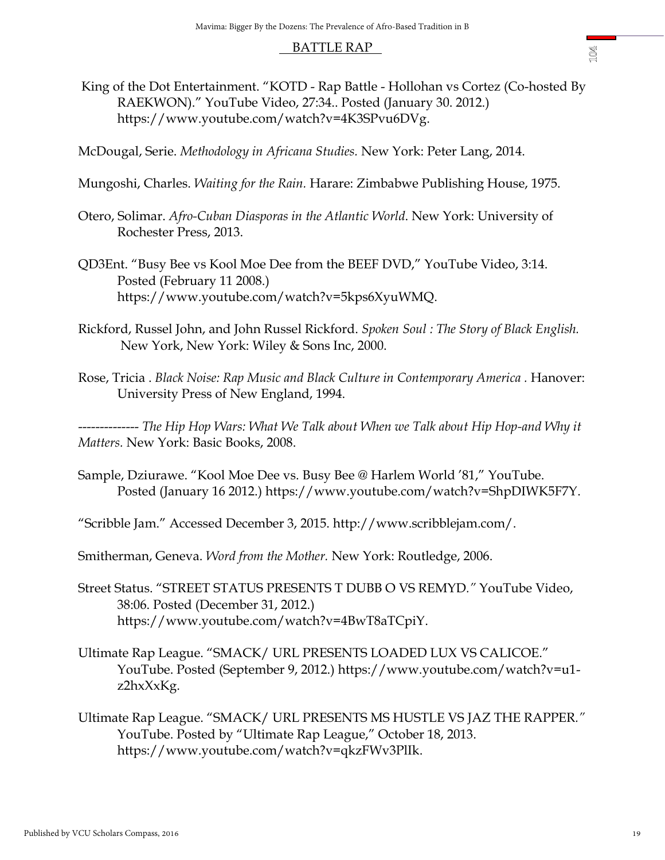- King of the Dot Entertainment. "KOTD Rap Battle Hollohan vs Cortez (Co-hosted By RAEKWON)." YouTube Video, 27:34.. Posted (January 30. 2012.) [https://www.youtube.com/watch?v=4K3SPvu6DVg.](https://www.youtube.com/watch?v=4K3SPvu6DVg)
- McDougal, Serie. *Methodology in Africana Studies.* New York: Peter Lang, 2014.
- Mungoshi, Charles. *Waiting for the Rain.* Harare: Zimbabwe Publishing House, 1975.
- Otero, Solimar. *Afro-Cuban Diasporas in the Atlantic World*. New York: University of Rochester Press, 2013.
- QD3Ent. "Busy Bee vs Kool Moe Dee from the BEEF DVD," YouTube Video, 3:14. Posted (February 11 2008.) [https://www.youtube.com/watch?v=5kps6XyuWMQ.](https://www.youtube.com/watch?v=5kps6XyuWMQ)
- Rickford, Russel John, and John Russel Rickford. *Spoken Soul : The Story of Black English.* New York, New York: Wiley & Sons Inc, 2000.
- Rose, Tricia . *Black Noise: Rap Music and Black Culture in Contemporary America .* Hanover: University Press of New England, 1994.

-------------- *The Hip Hop Wars: What We Talk about When we Talk about Hip Hop-and Why it Matters.* New York: Basic Books, 2008.

Sample, Dziurawe. "Kool Moe Dee vs. Busy Bee @ Harlem World '81," YouTube. Posted (January 16 2012.) [https://www.youtube.com/watch?v=ShpDIWK5F7Y.](https://www.youtube.com/watch?v=ShpDIWK5F7Y)

"Scribble Jam." Accessed December 3, 2015. http://www.scribblejam.com/.

Smitherman, Geneva. *Word from the Mother.* New York: Routledge, 2006.

- Street Status. "STREET STATUS PRESENTS T DUBB O VS REMYD*."* YouTube Video, 38:06. Posted (December 31, 2012.) [https://www.youtube.com/watch?v=4BwT8aTCpiY.](https://www.youtube.com/watch?v=4BwT8aTCpiY)
- Ultimate Rap League. "SMACK/ URL PRESENTS LOADED LUX VS CALICOE." YouTube. Posted (September 9, 2012.) [https://www.youtube.com/watch?v=u1](https://www.youtube.com/watch?v=u1-z2hxXxKg) [z2hxXxKg.](https://www.youtube.com/watch?v=u1-z2hxXxKg)
- Ultimate Rap League. "SMACK/ URL PRESENTS MS HUSTLE VS JAZ THE RAPPER*."*  YouTube. Posted by "Ultimate Rap League," October 18, 2013. [https://www.youtube.com/watch?v=qkzFWv3PlIk.](https://www.youtube.com/watch?v=qkzFWv3PlIk)